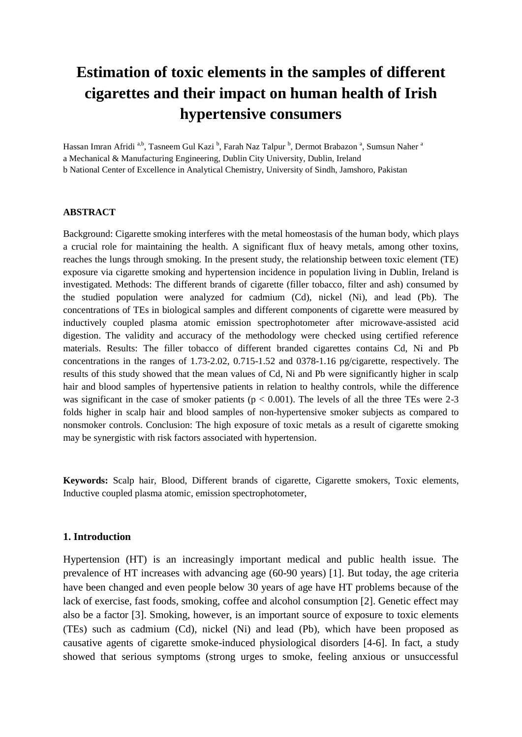# **Estimation of toxic elements in the samples of different cigarettes and their impact on human health of Irish hypertensive consumers**

Hassan Imran Afridi <sup>a,b</sup>, Tasneem Gul Kazi <sup>b</sup>, Farah Naz Talpur <sup>b</sup>, Dermot Brabazon <sup>a</sup>, Sumsun Naher <sup>a</sup> a Mechanical & Manufacturing Engineering, Dublin City University, Dublin, Ireland b National Center of Excellence in Analytical Chemistry, University of Sindh, Jamshoro, Pakistan

#### **ABSTRACT**

Background: Cigarette smoking interferes with the metal homeostasis of the human body, which plays a crucial role for maintaining the health. A significant flux of heavy metals, among other toxins, reaches the lungs through smoking. In the present study, the relationship between toxic element (TE) exposure via cigarette smoking and hypertension incidence in population living in Dublin, Ireland is investigated. Methods: The different brands of cigarette (filler tobacco, filter and ash) consumed by the studied population were analyzed for cadmium (Cd), nickel (Ni), and lead (Pb). The concentrations of TEs in biological samples and different components of cigarette were measured by inductively coupled plasma atomic emission spectrophotometer after microwave-assisted acid digestion. The validity and accuracy of the methodology were checked using certified reference materials. Results: The filler tobacco of different branded cigarettes contains Cd, Ni and Pb concentrations in the ranges of 1.73-2.02, 0.715-1.52 and 0378-1.16 pg/cigarette, respectively. The results of this study showed that the mean values of Cd, Ni and Pb were significantly higher in scalp hair and blood samples of hypertensive patients in relation to healthy controls, while the difference was significant in the case of smoker patients ( $p < 0.001$ ). The levels of all the three TEs were 2-3 folds higher in scalp hair and blood samples of non-hypertensive smoker subjects as compared to nonsmoker controls. Conclusion: The high exposure of toxic metals as a result of cigarette smoking may be synergistic with risk factors associated with hypertension.

**Keywords:** Scalp hair, Blood, Different brands of cigarette, Cigarette smokers, Toxic elements, Inductive coupled plasma atomic, emission spectrophotometer,

### **1. Introduction**

Hypertension (HT) is an increasingly important medical and public health issue. The prevalence of HT increases with advancing age (60-90 years) [1]. But today, the age criteria have been changed and even people below 30 years of age have HT problems because of the lack of exercise, fast foods, smoking, coffee and alcohol consumption [2]. Genetic effect may also be a factor [3]. Smoking, however, is an important source of exposure to toxic elements (TEs) such as cadmium (Cd), nickel (Ni) and lead (Pb), which have been proposed as causative agents of cigarette smoke-induced physiological disorders [4-6]. In fact, a study showed that serious symptoms (strong urges to smoke, feeling anxious or unsuccessful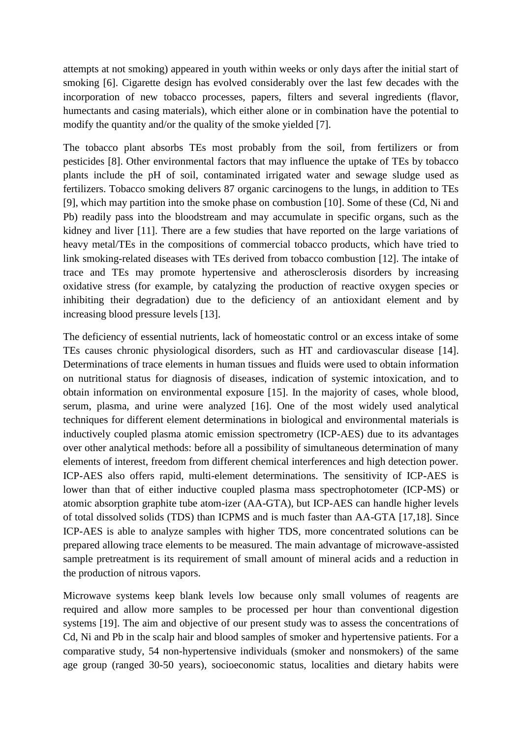attempts at not smoking) appeared in youth within weeks or only days after the initial start of smoking [6]. Cigarette design has evolved considerably over the last few decades with the incorporation of new tobacco processes, papers, filters and several ingredients (flavor, humectants and casing materials), which either alone or in combination have the potential to modify the quantity and/or the quality of the smoke yielded [7].

The tobacco plant absorbs TEs most probably from the soil, from fertilizers or from pesticides [8]. Other environmental factors that may influence the uptake of TEs by tobacco plants include the pH of soil, contaminated irrigated water and sewage sludge used as fertilizers. Tobacco smoking delivers 87 organic carcinogens to the lungs, in addition to TEs [9], which may partition into the smoke phase on combustion [10]. Some of these (Cd, Ni and Pb) readily pass into the bloodstream and may accumulate in specific organs, such as the kidney and liver [11]. There are a few studies that have reported on the large variations of heavy metal/TEs in the compositions of commercial tobacco products, which have tried to link smoking-related diseases with TEs derived from tobacco combustion [12]. The intake of trace and TEs may promote hypertensive and atherosclerosis disorders by increasing oxidative stress (for example, by catalyzing the production of reactive oxygen species or inhibiting their degradation) due to the deficiency of an antioxidant element and by increasing blood pressure levels [13].

The deficiency of essential nutrients, lack of homeostatic control or an excess intake of some TEs causes chronic physiological disorders, such as HT and cardiovascular disease [14]. Determinations of trace elements in human tissues and fluids were used to obtain information on nutritional status for diagnosis of diseases, indication of systemic intoxication, and to obtain information on environmental exposure [15]. In the majority of cases, whole blood, serum, plasma, and urine were analyzed [16]. One of the most widely used analytical techniques for different element determinations in biological and environmental materials is inductively coupled plasma atomic emission spectrometry (ICP-AES) due to its advantages over other analytical methods: before all a possibility of simultaneous determination of many elements of interest, freedom from different chemical interferences and high detection power. ICP-AES also offers rapid, multi-element determinations. The sensitivity of ICP-AES is lower than that of either inductive coupled plasma mass spectrophotometer (ICP-MS) or atomic absorption graphite tube atom-izer (AA-GTA), but ICP-AES can handle higher levels of total dissolved solids (TDS) than ICPMS and is much faster than AA-GTA [17,18]. Since ICP-AES is able to analyze samples with higher TDS, more concentrated solutions can be prepared allowing trace elements to be measured. The main advantage of microwave-assisted sample pretreatment is its requirement of small amount of mineral acids and a reduction in the production of nitrous vapors.

Microwave systems keep blank levels low because only small volumes of reagents are required and allow more samples to be processed per hour than conventional digestion systems [19]. The aim and objective of our present study was to assess the concentrations of Cd, Ni and Pb in the scalp hair and blood samples of smoker and hypertensive patients. For a comparative study, 54 non-hypertensive individuals (smoker and nonsmokers) of the same age group (ranged 30-50 years), socioeconomic status, localities and dietary habits were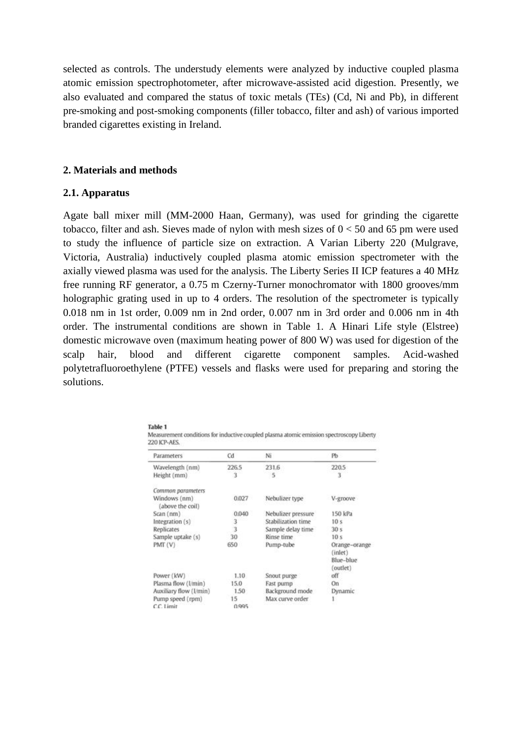selected as controls. The understudy elements were analyzed by inductive coupled plasma atomic emission spectrophotometer, after microwave-assisted acid digestion. Presently, we also evaluated and compared the status of toxic metals (TEs) (Cd, Ni and Pb), in different pre-smoking and post-smoking components (filler tobacco, filter and ash) of various imported branded cigarettes existing in Ireland.

#### **2. Materials and methods**

### **2.1. Apparatus**

Agate ball mixer mill (MM-2000 Haan, Germany), was used for grinding the cigarette tobacco, filter and ash. Sieves made of nylon with mesh sizes of  $0 < 50$  and 65 pm were used to study the influence of particle size on extraction. A Varian Liberty 220 (Mulgrave, Victoria, Australia) inductively coupled plasma atomic emission spectrometer with the axially viewed plasma was used for the analysis. The Liberty Series II ICP features a 40 MHz free running RF generator, a 0.75 m Czerny-Turner monochromator with 1800 grooves/mm holographic grating used in up to 4 orders. The resolution of the spectrometer is typically 0.018 nm in 1st order, 0.009 nm in 2nd order, 0.007 nm in 3rd order and 0.006 nm in 4th order. The instrumental conditions are shown in Table 1. A Hinari Life style (Elstree) domestic microwave oven (maximum heating power of 800 W) was used for digestion of the scalp hair, blood and different cigarette component samples. Acid-washed polytetrafluoroethylene (PTFE) vessels and flasks were used for preparing and storing the solutions.

| Parameters        | Cd             | Nī             | PЪ       |
|-------------------|----------------|----------------|----------|
| Wavelength (nm)   | 226.5          | 231.6          | 220.5    |
| Height (mm)       | 3 <sup>3</sup> | -5             |          |
| Common parameters |                |                |          |
| Windows (nm)      | 0.027          | Nebulizer type | V-groove |

Table 1 Measurement conditions for inductive coupled plasma atomic emission spectroscopy Liberty

| Common parameters                |             |                    |                                                   |
|----------------------------------|-------------|--------------------|---------------------------------------------------|
| Windows (nm)<br>(above the coil) | 0.027       | Nebulizer type     | V-groove                                          |
| Scan (nm)                        | 0.040       | Nebulizer pressure | 150 kPa                                           |
| Integration (s)                  |             | Stabilization time | 10 <sub>s</sub>                                   |
| Replicates                       |             | Sample delay time  | 30 <sub>s</sub>                                   |
| Sample uptake (s)                | 30          | Rinse time         | 10 <sub>s</sub>                                   |
| PMT (V)                          | 650         | Pump-tube          | Orange-orange<br>(inlet)<br>Blue-blue<br>(outlet) |
| Power (kW)                       | 1.10        | Snout purge        | off                                               |
| Plasma flow (I/min)              | 15.0        | Fast pump          | On                                                |
| Auxiliary flow (I/min)           | 1.50        | Background mode    | Dynamic                                           |
| Pump speed (rpm)<br>C.C. Limit   | 15<br>0.995 | Max curve order    |                                                   |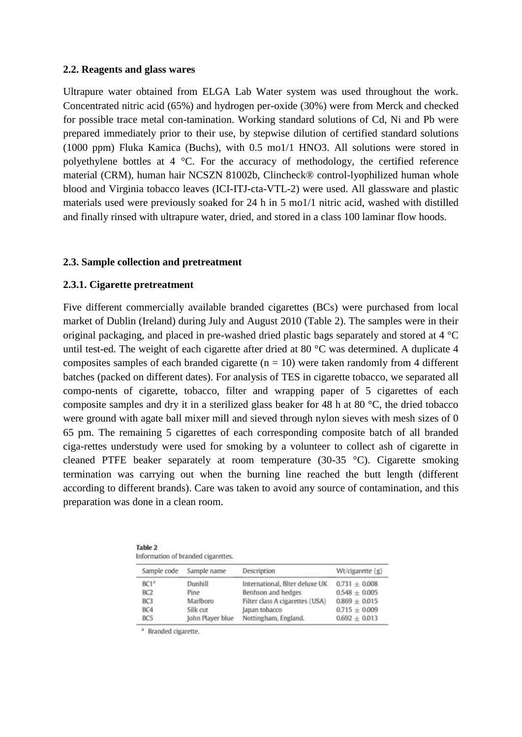### **2.2. Reagents and glass wares**

Ultrapure water obtained from ELGA Lab Water system was used throughout the work. Concentrated nitric acid (65%) and hydrogen per-oxide (30%) were from Merck and checked for possible trace metal con-tamination. Working standard solutions of Cd, Ni and Pb were prepared immediately prior to their use, by stepwise dilution of certified standard solutions (1000 ppm) Fluka Kamica (Buchs), with 0.5 mo1/1 HNO3. All solutions were stored in polyethylene bottles at 4 °C. For the accuracy of methodology, the certified reference material (CRM), human hair NCSZN 81002b, Clincheck® control-lyophilized human whole blood and Virginia tobacco leaves (ICI-ITJ-cta-VTL-2) were used. All glassware and plastic materials used were previously soaked for 24 h in 5 mo1/1 nitric acid, washed with distilled and finally rinsed with ultrapure water, dried, and stored in a class 100 laminar flow hoods.

### **2.3. Sample collection and pretreatment**

### **2.3.1. Cigarette pretreatment**

Five different commercially available branded cigarettes (BCs) were purchased from local market of Dublin (Ireland) during July and August 2010 (Table 2). The samples were in their original packaging, and placed in pre-washed dried plastic bags separately and stored at 4 °C until test-ed. The weight of each cigarette after dried at 80 °C was determined. A duplicate 4 composites samples of each branded cigarette  $(n = 10)$  were taken randomly from 4 different batches (packed on different dates). For analysis of TES in cigarette tobacco, we separated all compo-nents of cigarette, tobacco, filter and wrapping paper of 5 cigarettes of each composite samples and dry it in a sterilized glass beaker for 48 h at 80 °C, the dried tobacco were ground with agate ball mixer mill and sieved through nylon sieves with mesh sizes of 0 65 pm. The remaining 5 cigarettes of each corresponding composite batch of all branded ciga-rettes understudy were used for smoking by a volunteer to collect ash of cigarette in cleaned PTFE beaker separately at room temperature (30-35 °C). Cigarette smoking termination was carrying out when the burning line reached the butt length (different according to different brands). Care was taken to avoid any source of contamination, and this preparation was done in a clean room.

| Table 2                           |  |  |
|-----------------------------------|--|--|
| Information of branded cigarettes |  |  |

| Sample code      | Sample name      | Description                     | Wt/cigarette (g)  |
|------------------|------------------|---------------------------------|-------------------|
| BC1 <sup>a</sup> | Dunhill          | International, filter deluxe UK | $0.731 + 0.008$   |
| BC <sub>2</sub>  | Pine             | Benhson and hedges              | $0.548 \pm 0.005$ |
| BC3              | Marlboro         | Filter class A cigarettes (USA) | $0.869 \pm 0.015$ |
| BC4              | Silk cut         | Japan tobacco                   | $0.715 \pm 0.009$ |
| BC <sub>5</sub>  | John Player blue | Nottingham, England.            | $0.692 \pm 0.013$ |

<sup>a</sup> Branded cigarette.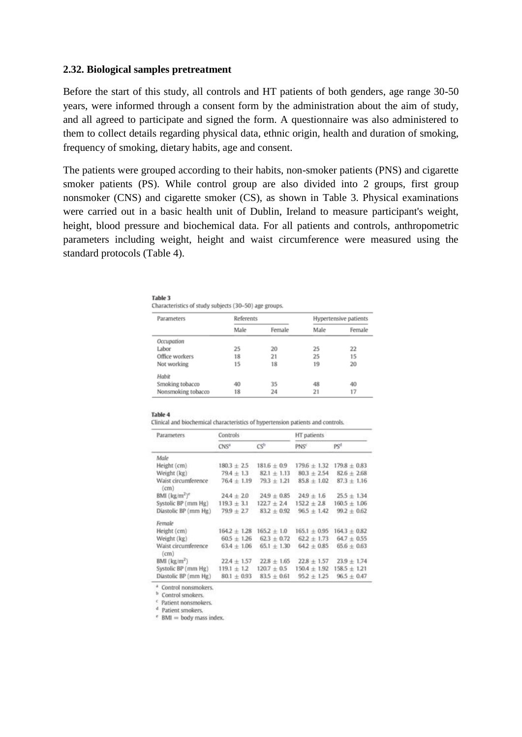#### **2.32. Biological samples pretreatment**

Before the start of this study, all controls and HT patients of both genders, age range 30-50 years, were informed through a consent form by the administration about the aim of study, and all agreed to participate and signed the form. A questionnaire was also administered to them to collect details regarding physical data, ethnic origin, health and duration of smoking, frequency of smoking, dietary habits, age and consent.

The patients were grouped according to their habits, non-smoker patients (PNS) and cigarette smoker patients (PS). While control group are also divided into 2 groups, first group nonsmoker (CNS) and cigarette smoker (CS), as shown in Table 3. Physical examinations were carried out in a basic health unit of Dublin, Ireland to measure participant's weight, height, blood pressure and biochemical data. For all patients and controls, anthropometric parameters including weight, height and waist circumference were measured using the standard protocols (Table 4).

| Table 3                                               |  |  |
|-------------------------------------------------------|--|--|
| Characteristics of study subjects (30-50) age groups. |  |  |

| Parameters         | Referents |        | Hypertensive patients |        |
|--------------------|-----------|--------|-----------------------|--------|
|                    | Male      | Female | Male                  | Female |
| Occupation         |           |        |                       |        |
| Labor              | 25        | 20     | 25                    | 22     |
| Office workers     | 18        | 21     | 25                    | 15     |
| Not working        | 15        | 18     | 19                    | 20     |
| Habit              |           |        |                       |        |
| Smoking tobacco    | 40        | 35     | 48                    | 40     |
| Nonsmoking tobacco | 18        | 24     | 21                    | 17     |

#### Table 4

Clinical and biochemical characteristics of hypertension patients and controls.

| Parameters                            | Controls                        |                 | HT patients                                   |                                   |
|---------------------------------------|---------------------------------|-----------------|-----------------------------------------------|-----------------------------------|
|                                       | CNS <sup>a</sup>                | CS <sub>0</sub> | PNS <sup>E</sup>                              | p <sub>S<sup>d</sup></sub>        |
| Male                                  |                                 |                 |                                               |                                   |
| Height (cm)                           | $180.3 \pm 2.5$ $181.6 \pm 0.9$ |                 |                                               | $179.6 \pm 1.32$ $179.8 \pm 0.83$ |
| Weight (kg)                           |                                 |                 | $79.4 \pm 13$ $82.1 \pm 1.13$ $80.3 \pm 2.54$ | $82.6 \pm 2.68$                   |
| Waist circumference<br>(cm)           | $76.4 \pm 1.19$                 | $79.3 \pm 1.21$ | $85.8 + 1.02$                                 | $87.3 \pm 1.16$                   |
| BMI (kg/m <sup>2</sup> ) <sup>e</sup> | $244 + 20$                      | $24.9 \pm 0.85$ | $249 \pm 1.6$                                 | $25.5 \pm 1.34$                   |
| Systolic BP (mm Hg)                   | $119.3 \pm 3.1$                 | $122.7 + 2.4$   | $152.2 \pm 2.8$                               | $160.5 \pm 1.06$                  |
| Diastolic BP (mm Hg)                  | $799 + 27$                      | $83.2 + 0.92$   | $96.5 + 1.42$                                 | $99.2 \pm 0.62$                   |
| Female                                |                                 |                 |                                               |                                   |
| Height (cm)                           | $164.2 + 1.28$                  | $165.2 + 1.0$   | $165.1 \pm 0.95$                              | $164.3 \pm 0.82$                  |
| Weight (kg)                           | $60.5 + 1.26$                   |                 | $62.3 \pm 0.72$ $62.2 \pm 1.73$               | $64.7 \pm 0.55$                   |
| Waist circumference<br>(cm)           | $63.4 + 1.06$                   | $65.1 \pm 1.30$ | $642 + 0.85$                                  | $65.6 + 0.63$                     |
| BMI $(kg/m2)$                         | $224 \pm 157$                   | $22.8 + 1.65$   | $22.8 + 1.57$                                 | $23.9 + 1.74$                     |
| Systolic BP (mm Hg)                   | $119.1 \pm 1.2$                 | $120.7 \pm 0.5$ | $150.4 + 1.92$                                | $158.5 \pm 1.21$                  |
| Diastolic BP (mm Hg)                  | $80.1 + 0.93$                   | $83.5 \pm 0.61$ | $95.2 + 1.25$                                 | $96.5 + 0.47$                     |

<sup>a</sup> Control nonsmokers.

**b** Control smokers.

<sup>c</sup> Patient nonsmokers.

<sup>d</sup> Patient smokers.

 $e$  BMI = body mass index.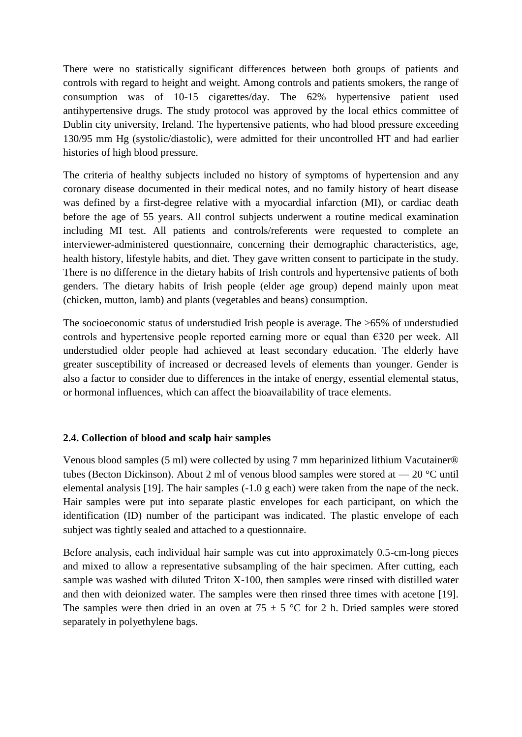There were no statistically significant differences between both groups of patients and controls with regard to height and weight. Among controls and patients smokers, the range of consumption was of 10-15 cigarettes/day. The 62% hypertensive patient used antihypertensive drugs. The study protocol was approved by the local ethics committee of Dublin city university, Ireland. The hypertensive patients, who had blood pressure exceeding 130/95 mm Hg (systolic/diastolic), were admitted for their uncontrolled HT and had earlier histories of high blood pressure.

The criteria of healthy subjects included no history of symptoms of hypertension and any coronary disease documented in their medical notes, and no family history of heart disease was defined by a first-degree relative with a myocardial infarction (MI), or cardiac death before the age of 55 years. All control subjects underwent a routine medical examination including MI test. All patients and controls/referents were requested to complete an interviewer-administered questionnaire, concerning their demographic characteristics, age, health history, lifestyle habits, and diet. They gave written consent to participate in the study. There is no difference in the dietary habits of Irish controls and hypertensive patients of both genders. The dietary habits of Irish people (elder age group) depend mainly upon meat (chicken, mutton, lamb) and plants (vegetables and beans) consumption.

The socioeconomic status of understudied Irish people is average. The >65% of understudied controls and hypertensive people reported earning more or equal than  $\epsilon$ 320 per week. All understudied older people had achieved at least secondary education. The elderly have greater susceptibility of increased or decreased levels of elements than younger. Gender is also a factor to consider due to differences in the intake of energy, essential elemental status, or hormonal influences, which can affect the bioavailability of trace elements.

### **2.4. Collection of blood and scalp hair samples**

Venous blood samples (5 ml) were collected by using 7 mm heparinized lithium Vacutainer® tubes (Becton Dickinson). About 2 ml of venous blood samples were stored at — 20 °C until elemental analysis [19]. The hair samples  $(-1.0 \text{ g each})$  were taken from the nape of the neck. Hair samples were put into separate plastic envelopes for each participant, on which the identification (ID) number of the participant was indicated. The plastic envelope of each subject was tightly sealed and attached to a questionnaire.

Before analysis, each individual hair sample was cut into approximately 0.5-cm-long pieces and mixed to allow a representative subsampling of the hair specimen. After cutting, each sample was washed with diluted Triton X-100, then samples were rinsed with distilled water and then with deionized water. The samples were then rinsed three times with acetone [19]. The samples were then dried in an oven at  $75 \pm 5$  °C for 2 h. Dried samples were stored separately in polyethylene bags.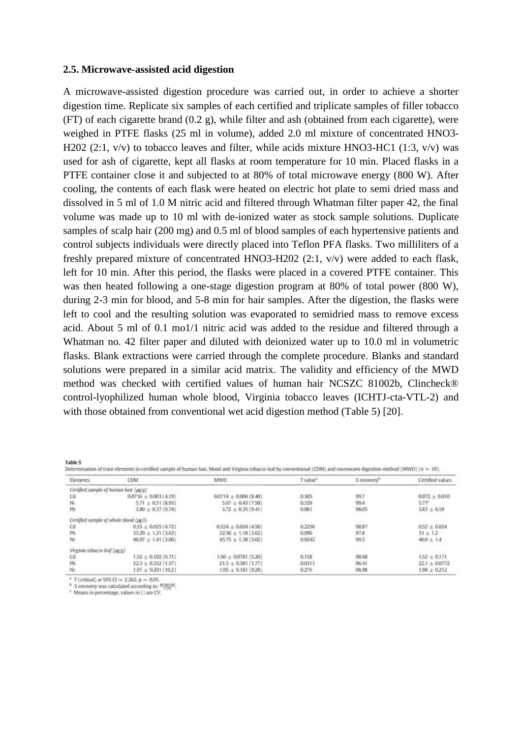#### **2.5. Microwave-assisted acid digestion**

A microwave-assisted digestion procedure was carried out, in order to achieve a shorter digestion time. Replicate six samples of each certified and triplicate samples of filler tobacco (FT) of each cigarette brand (0.2 g), while filter and ash (obtained from each cigarette), were weighed in PTFE flasks (25 ml in volume), added 2.0 ml mixture of concentrated HNO3- H202 (2:1,  $v/v$ ) to tobacco leaves and filter, while acids mixture HNO3-HC1 (1:3,  $v/v$ ) was used for ash of cigarette, kept all flasks at room temperature for 10 min. Placed flasks in a PTFE container close it and subjected to at 80% of total microwave energy (800 W). After cooling, the contents of each flask were heated on electric hot plate to semi dried mass and dissolved in 5 ml of 1.0 M nitric acid and filtered through Whatman filter paper 42, the final volume was made up to 10 ml with de-ionized water as stock sample solutions. Duplicate samples of scalp hair (200 mg) and 0.5 ml of blood samples of each hypertensive patients and control subjects individuals were directly placed into Teflon PFA flasks. Two milliliters of a freshly prepared mixture of concentrated HNO3-H202 (2:1, v/v) were added to each flask, left for 10 min. After this period, the flasks were placed in a covered PTFE container. This was then heated following a one-stage digestion program at 80% of total power (800 W), during 2-3 min for blood, and 5-8 min for hair samples. After the digestion, the flasks were left to cool and the resulting solution was evaporated to semidried mass to remove excess acid. About 5 ml of 0.1 mo1/1 nitric acid was added to the residue and filtered through a Whatman no. 42 filter paper and diluted with deionized water up to 10.0 ml in volumetric flasks. Blank extractions were carried through the complete procedure. Blanks and standard solutions were prepared in a similar acid matrix. The validity and efficiency of the MWD method was checked with certified values of human hair NCSZC 81002b, Clincheck® control-lyophilized human whole blood, Virginia tobacco leaves (ICHTJ-cta-VTL-2) and with those obtained from conventional wet acid digestion method (Table 5) [20].

Table 5

Determination of trace elements in certified sample of human hair, blood and Virginia tobacco leaf by conventional (CDM) and microwave digestion method (MWD) (n = 10).

| Elements                      | <b>CDM</b>                             | <b>MWD</b>                | T value <sup>4</sup> | % recovery®     | Certified values  |
|-------------------------------|----------------------------------------|---------------------------|----------------------|-----------------|-------------------|
|                               | Certified sample of human hair (µg/g). |                           |                      |                 |                   |
| Cd                            | $0.0716 \pm 0.003(4.19)$               | $0.0714 \pm 0.006$ (8.40) | 0.305                | 99.7            | $0.072 + 0.010$   |
| Ni                            | $5.71 \pm 0.51$ (8.93)                 | $5.67 \pm 0.43$ (7.58)    | 0.339                | 99.4            | $5.77^{\circ}$    |
| Pb                            | $3.80 \pm 0.37$ (9.74)                 | $-3.72 \pm 0.35(9.41)$    | 0.081                | 98.05           | $3.83 \pm 0.18$   |
|                               | Certified sample of whole blood (ug/l) |                           |                      | <b>Security</b> |                   |
| Cd                            | $0.53 \pm 0.025$ (4.72)                | $0.524 \pm 0.024$ (4.58)  | 0.2256               | 98.87           | $0.52 + 0.024$    |
| Pb                            | $33.29 \pm 1.21 (3.63)$                | $32.56 \pm 1.18$ (3.62)   | 0.096                | 97.8            | $33 + 1.2$        |
| Ni                            | $46.07 + 1.41(3.06)$                   | $45.75 \pm 1.38$ (3.02)   | 0.9242               | 99.3            | $46.0 \pm 1.4$    |
| Virginia tobacco leaf (140)g) |                                        |                           | nzenz                |                 |                   |
| Cd                            | $1.52 \pm 0.102(6.71)$                 | $1.50 \pm 0.0781$ (5.20)  | 0.158                | 98.68           | $1.52 \pm 0.171$  |
| Pb                            | $22.3 \pm 0.352$ (1.57)                | $21.5 \pm 0.381(1.77)$    | 0.0311               | 96.41           | $22.1 \pm 0.0772$ |
| Ni                            | $1.97 \pm 0.201$ (10.2)                | $1.95 + 0.181(9.28)$      | 0.275                | 98.98           | $1.98 + 0.212$    |

 $*$  T (critical) at 95% CI = 2.262, p = 0.05.

<sup>b</sup> *x* recovery was calculated according to:  $\frac{mg_{200}}{mg_{100}}$ <br><sup>b</sup> *x* recovery was calculated according to:  $\frac{mg_{200}}{mg_{100}}$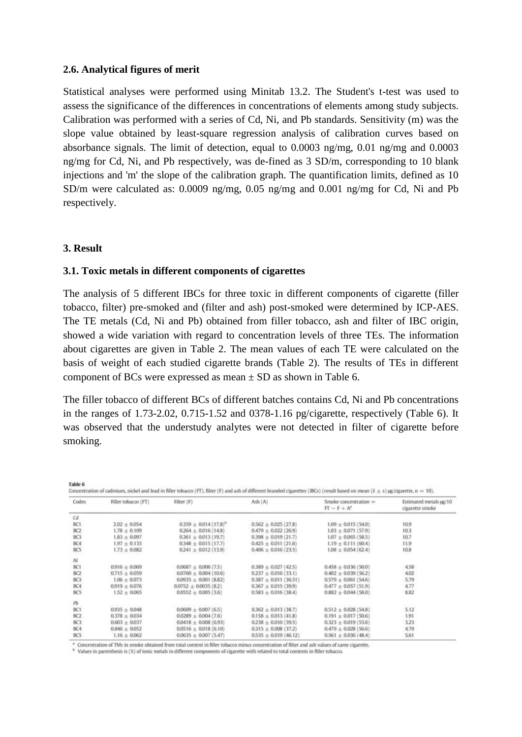### **2.6. Analytical figures of merit**

Statistical analyses were performed using Minitab 13.2. The Student's t-test was used to assess the significance of the differences in concentrations of elements among study subjects. Calibration was performed with a series of Cd, Ni, and Pb standards. Sensitivity (m) was the slope value obtained by least-square regression analysis of calibration curves based on absorbance signals. The limit of detection, equal to 0.0003 ng/mg, 0.01 ng/mg and 0.0003 ng/mg for Cd, Ni, and Pb respectively, was de-fined as 3 SD/m, corresponding to 10 blank injections and 'm' the slope of the calibration graph. The quantification limits, defined as 10 SD/m were calculated as: 0.0009 ng/mg, 0.05 ng/mg and 0.001 ng/mg for Cd, Ni and Pb respectively.

### **3. Result**

### **3.1. Toxic metals in different components of cigarettes**

The analysis of 5 different IBCs for three toxic in different components of cigarette (filler tobacco, filter) pre-smoked and (filter and ash) post-smoked were determined by ICP-AES. The TE metals (Cd, Ni and Pb) obtained from filler tobacco, ash and filter of IBC origin, showed a wide variation with regard to concentration levels of three TEs. The information about cigarettes are given in Table 2. The mean values of each TE were calculated on the basis of weight of each studied cigarette brands (Table 2). The results of TEs in different component of BCs were expressed as mean  $\pm$  SD as shown in Table 6.

The filler tobacco of different BCs of different batches contains Cd, Ni and Pb concentrations in the ranges of 1.73-2.02, 0.715-1.52 and 0378-1.16 pg/cigarette, respectively (Table 6). It was observed that the understudy analytes were not detected in filter of cigarette before smoking.

| Codes           | Filler tobacco (FT) | Filter (F)                            | Ash (A)                   | Smoke concentration $=$<br>$FT-F+A^2$ | Estimated metals µg/10<br>cigarette smoke |
|-----------------|---------------------|---------------------------------------|---------------------------|---------------------------------------|-------------------------------------------|
| Cd              |                     |                                       |                           |                                       |                                           |
| BC1             | $2.02 + 0.054$      | $0.359 \pm 0.014$ (17.8) <sup>*</sup> | $0.562 \pm 0.025$ (27.8)  | $1.09 \pm 0.015(54.0)$                | 10.9                                      |
| BC2             | $1.78 \pm 0.109$    | $0.264 \pm 0.016$ (14.8)              | $0.479 \pm 0.022$ (26.9)  | $1.03 \pm 0.071(57.9)$                | 10.3                                      |
| BC3             | $1.83 \pm 0.097$    | $0.361 + 0.013(19.7)$                 | $0.398 \pm 0.019(21.7)$   | $1.07 \pm 0.065$ (58.5)               | 10.7                                      |
| BC4             | $1.97 \pm 0.135$    | $0.348 \pm 0.015(17.7)$               | $0.425 \pm 0.011$ (21.6)  | $1.19 \pm 0.111(60.4)$                | 11.9                                      |
| BC5             | $1.73 \pm 0.082$    | $0.241 \pm 0.012$ (13.9)              | $0,406 \pm 0.016$ (23.5)  | $1.08 \pm 0.054$ (62.4)               | 10.8                                      |
| Ni              |                     |                                       |                           |                                       |                                           |
| BC1             | $0.916 \pm 0.069$   | $0.0687 \pm 0.006(7.5)$               | $0.389 \pm 0.027$ (42.5)  | $0.458 \pm 0.036$ (50.0)              | 4.58                                      |
| BC <sub>2</sub> | $0.715 \pm 0.059$   | $0.0760 \pm 0.004$ (10.6)             | $0.237 \pm 0.016(33.1)$   | $0.402 \pm 0.039$ (56.2)              | 4.02                                      |
| BC3             | $1.06 \pm 0.073$    | $0.0935 \pm 0.001$ (8.82)             | $0.387 + 0.011(36.51)$    | $0.579 \pm 0.061$ (54.6)              | 5.79                                      |
| BC4             | $0.919 + 0.076$     | $0.0752 \pm 0.0035(8.2)$              | $0.367 \pm 0.015$ (39.9)  | $0.477 \pm 0.057(51.9)$               | 4.77                                      |
| BC5             | $1.52 \pm 0.065$    | $0.0552 \pm 0.005(3.6)$               | $0.583 \pm 0.016$ (38.4)  | $0.882 \pm 0.044$ (58.0)              | 8.82                                      |
| Pb              |                     |                                       |                           |                                       |                                           |
| BC1             | $0.935 + 0.048$     | $0.0609 + 0.007(6.5)$                 | $0.362 \pm 0.013$ (38.7)  | $0.512 \pm 0.028$ (54.8)              | 5.12                                      |
| BC <sub>2</sub> | $0.378 \pm 0.034$   | $0.0289 \pm 0.004(7.6)$               | $0.158 \pm 0.013$ (41.8)  | $0.191 \pm 0.017$ (50.6)              | 1.91                                      |
| BC3             | $0.603 \pm 0.037$   | $0.0418 \pm 0.008$ (6.93)             | $0.238 \pm 0.010$ (39.5)  | $0.323 \pm 0.019$ (53.6)              | 3.23                                      |
| BC4             | $0.846 \pm 0.052$   | $0.0516 \pm 0.018(6.10)$              | $0.315 \pm 0.008$ (37.2)  | $0.479 \pm 0.028$ (56.6)              | 4.79                                      |
| BCS             | $1.16 \pm 0.062$    | $0.0635 + 0.007(5.47)$                | $0.535 \pm 0.019$ (46.12) | $0.561 + 0.036(48.4)$                 | 5.61                                      |

\* Concentration of TMs in smoke obtained from total content in filler tobacco minus concentration of filter and ash values of same cigarette.

<sup>b</sup> Values in parenthesis is (%) of toxic metals in different components of cigarette with related to total contents in filler tobacco.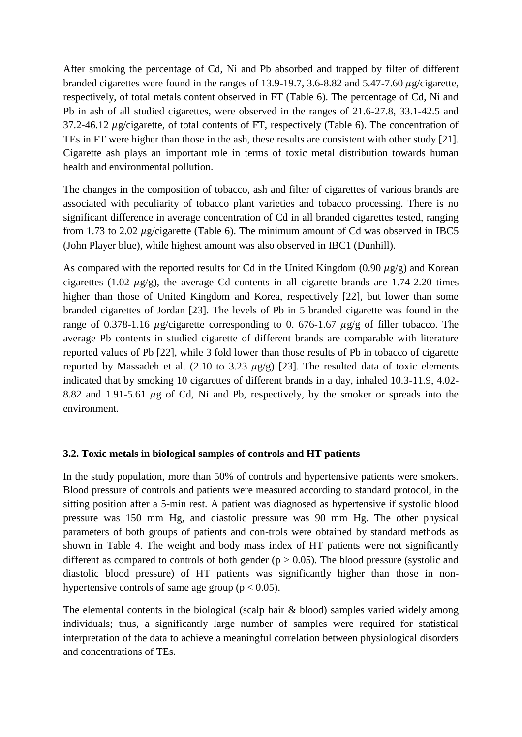After smoking the percentage of Cd, Ni and Pb absorbed and trapped by filter of different branded cigarettes were found in the ranges of 13.9-19.7, 3.6-8.82 and 5.47-7.60  $\mu$ g/cigarette, respectively, of total metals content observed in FT (Table 6). The percentage of Cd, Ni and Pb in ash of all studied cigarettes, were observed in the ranges of 21.6-27.8, 33.1-42.5 and 37.2-46.12  $\mu$ g/cigarette, of total contents of FT, respectively (Table 6). The concentration of TEs in FT were higher than those in the ash, these results are consistent with other study [21]. Cigarette ash plays an important role in terms of toxic metal distribution towards human health and environmental pollution.

The changes in the composition of tobacco, ash and filter of cigarettes of various brands are associated with peculiarity of tobacco plant varieties and tobacco processing. There is no significant difference in average concentration of Cd in all branded cigarettes tested, ranging from 1.73 to 2.02  $\mu$ g/cigarette (Table 6). The minimum amount of Cd was observed in IBC5 (John Player blue), while highest amount was also observed in IBC1 (Dunhill).

As compared with the reported results for Cd in the United Kingdom (0.90  $\mu$ g/g) and Korean cigarettes (1.02  $\mu$ g/g), the average Cd contents in all cigarette brands are 1.74-2.20 times higher than those of United Kingdom and Korea, respectively [22], but lower than some branded cigarettes of Jordan [23]. The levels of Pb in 5 branded cigarette was found in the range of 0.378-1.16  $\mu$ g/cigarette corresponding to 0.676-1.67  $\mu$ g/g of filler tobacco. The average Pb contents in studied cigarette of different brands are comparable with literature reported values of Pb [22], while 3 fold lower than those results of Pb in tobacco of cigarette reported by Massadeh et al. (2.10 to 3.23  $\mu$ g/g) [23]. The resulted data of toxic elements indicated that by smoking 10 cigarettes of different brands in a day, inhaled 10.3-11.9, 4.02- 8.82 and 1.91-5.61  $\mu$ g of Cd, Ni and Pb, respectively, by the smoker or spreads into the environment.

### **3.2. Toxic metals in biological samples of controls and HT patients**

In the study population, more than 50% of controls and hypertensive patients were smokers. Blood pressure of controls and patients were measured according to standard protocol, in the sitting position after a 5-min rest. A patient was diagnosed as hypertensive if systolic blood pressure was 150 mm Hg, and diastolic pressure was 90 mm Hg. The other physical parameters of both groups of patients and con-trols were obtained by standard methods as shown in Table 4. The weight and body mass index of HT patients were not significantly different as compared to controls of both gender ( $p > 0.05$ ). The blood pressure (systolic and diastolic blood pressure) of HT patients was significantly higher than those in nonhypertensive controls of same age group ( $p < 0.05$ ).

The elemental contents in the biological (scalp hair & blood) samples varied widely among individuals; thus, a significantly large number of samples were required for statistical interpretation of the data to achieve a meaningful correlation between physiological disorders and concentrations of TEs.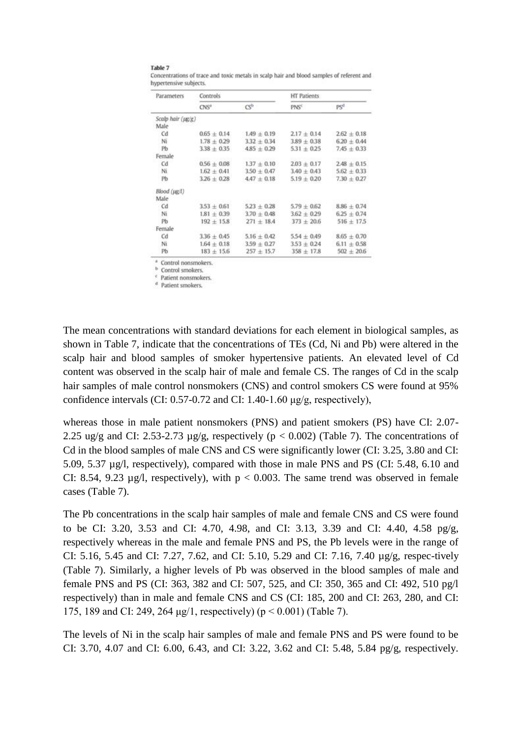Table 7

Concentrations of trace and toxic metals in scalp hair and blood samples of referent and hypertensive subjects.

| Parameters        | Controls         |                 |                  |                 |
|-------------------|------------------|-----------------|------------------|-----------------|
|                   | CNS <sup>a</sup> | $C2_p$          | PNS <sup>C</sup> | pgd             |
| Scalp hair (µg/g) |                  |                 |                  |                 |
| Male              |                  |                 |                  |                 |
| Cd                | $0.65 + 0.14$    | $1.49 \pm 0.19$ | $2.17 \pm 0.14$  | $2.62 \pm 0.18$ |
| Ni                | $1.78 \pm 0.29$  | $3.32 \pm 0.34$ | $3.89 \pm 0.38$  | $6.20 + 0.44$   |
| Pb                | $3.38 \pm 0.35$  | $4.85 \pm 0.29$ | $5.31 \pm 0.25$  | $7.45 \pm 0.33$ |
| Female            |                  |                 |                  |                 |
| Cd                | $0.56 \pm 0.08$  | $1.37 \pm 0.10$ | $2.03 \pm 0.17$  | $2.48 \pm 0.15$ |
| Ni                | $1.62 \pm 0.41$  | $3.50 \pm 0.47$ | $3.40 \pm 0.43$  | $5.62 \pm 0.33$ |
| Pb                | $3.26 \pm 0.28$  | $4.47 \pm 0.18$ | $5.19 \pm 0.20$  | $7.30 \pm 0.27$ |
| Blood (µg/l)      |                  |                 |                  |                 |
| Male              |                  |                 |                  |                 |
| Cd                | $3.53 \pm 0.61$  | $5.23 + 0.28$   | $5.79 \pm 0.62$  | $8.86 \pm 0.74$ |
| Ni                | $1.81 \pm 0.39$  | $3.70 \pm 0.48$ | $3.62 \pm 0.29$  | $6.25 \pm 0.74$ |
| Pb                | $192 \pm 15.8$   | $271 \pm 18.4$  | $373 + 20.6$     | $516 \pm 17.5$  |
| Female            |                  |                 |                  |                 |
| Cd                | $3.36 \pm 0.45$  | $5.16 \pm 0.42$ | $5.54 \pm 0.49$  | $8.65 \pm 0.70$ |
| Ni                | $1.64 \pm 0.18$  | $3.59 \pm 0.27$ | $3.53 \pm 0.24$  | $6.11 \pm 0.58$ |
| Pb                | $183 \pm 15.6$   | $257 \pm 15.7$  | $358 \pm 17.8$   | $502 + 20.6$    |

<sup>a</sup> Control nonsmokers.

<sup>b</sup> Control smokers.

<sup>c</sup> Patient nonsmokers. <sup>d</sup> Patient smokers.

The mean concentrations with standard deviations for each element in biological samples, as shown in Table 7, indicate that the concentrations of TEs (Cd, Ni and Pb) were altered in the scalp hair and blood samples of smoker hypertensive patients. An elevated level of Cd content was observed in the scalp hair of male and female CS. The ranges of Cd in the scalp hair samples of male control nonsmokers (CNS) and control smokers CS were found at 95% confidence intervals (CI:  $0.57$ - $0.72$  and CI:  $1.40$ - $1.60$   $\mu$ g/g, respectively),

whereas those in male patient nonsmokers (PNS) and patient smokers (PS) have CI: 2.07- 2.25 ug/g and CI: 2.53-2.73 ug/g, respectively ( $p < 0.002$ ) (Table 7). The concentrations of Cd in the blood samples of male CNS and CS were significantly lower (CI: 3.25, 3.80 and CI: 5.09, 5.37 µg/l, respectively), compared with those in male PNS and PS (CI: 5.48, 6.10 and CI: 8.54, 9.23  $\mu$ g/l, respectively), with  $p < 0.003$ . The same trend was observed in female cases (Table 7).

The Pb concentrations in the scalp hair samples of male and female CNS and CS were found to be CI: 3.20, 3.53 and CI: 4.70, 4.98, and CI: 3.13, 3.39 and CI: 4.40, 4.58 pg/g, respectively whereas in the male and female PNS and PS, the Pb levels were in the range of CI: 5.16, 5.45 and CI: 7.27, 7.62, and CI: 5.10, 5.29 and CI: 7.16, 7.40 µg/g, respec-tively (Table 7). Similarly, a higher levels of Pb was observed in the blood samples of male and female PNS and PS (CI: 363, 382 and CI: 507, 525, and CI: 350, 365 and CI: 492, 510 pg/l respectively) than in male and female CNS and CS (CI: 185, 200 and CI: 263, 280, and CI: 175, 189 and CI: 249, 264 μg/1, respectively) (p < 0.001) (Table 7).

The levels of Ni in the scalp hair samples of male and female PNS and PS were found to be CI: 3.70, 4.07 and CI: 6.00, 6.43, and CI: 3.22, 3.62 and CI: 5.48, 5.84 pg/g, respectively.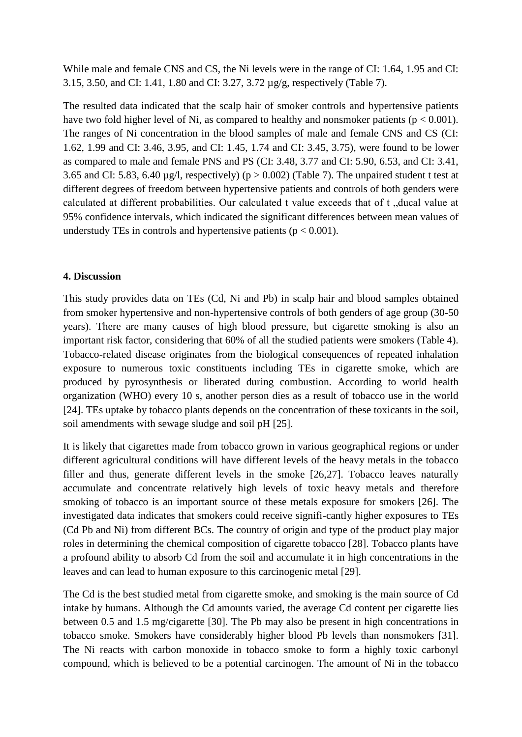While male and female CNS and CS, the Ni levels were in the range of CI: 1.64, 1.95 and CI: 3.15, 3.50, and CI: 1.41, 1.80 and CI: 3.27, 3.72 µg/g, respectively (Table 7).

The resulted data indicated that the scalp hair of smoker controls and hypertensive patients have two fold higher level of Ni, as compared to healthy and nonsmoker patients ( $p < 0.001$ ). The ranges of Ni concentration in the blood samples of male and female CNS and CS (CI: 1.62, 1.99 and CI: 3.46, 3.95, and CI: 1.45, 1.74 and CI: 3.45, 3.75), were found to be lower as compared to male and female PNS and PS (CI: 3.48, 3.77 and CI: 5.90, 6.53, and CI: 3.41, 3.65 and CI: 5.83, 6.40  $\mu$ g/l, respectively) (p > 0.002) (Table 7). The unpaired student t test at different degrees of freedom between hypertensive patients and controls of both genders were calculated at different probabilities. Our calculated t value exceeds that of t "ducal value at 95% confidence intervals, which indicated the significant differences between mean values of understudy TEs in controls and hypertensive patients ( $p < 0.001$ ).

### **4. Discussion**

This study provides data on TEs (Cd, Ni and Pb) in scalp hair and blood samples obtained from smoker hypertensive and non-hypertensive controls of both genders of age group (30-50 years). There are many causes of high blood pressure, but cigarette smoking is also an important risk factor, considering that 60% of all the studied patients were smokers (Table 4). Tobacco-related disease originates from the biological consequences of repeated inhalation exposure to numerous toxic constituents including TEs in cigarette smoke, which are produced by pyrosynthesis or liberated during combustion. According to world health organization (WHO) every 10 s, another person dies as a result of tobacco use in the world [24]. TEs uptake by tobacco plants depends on the concentration of these toxicants in the soil, soil amendments with sewage sludge and soil pH [25].

It is likely that cigarettes made from tobacco grown in various geographical regions or under different agricultural conditions will have different levels of the heavy metals in the tobacco filler and thus, generate different levels in the smoke [26,27]. Tobacco leaves naturally accumulate and concentrate relatively high levels of toxic heavy metals and therefore smoking of tobacco is an important source of these metals exposure for smokers [26]. The investigated data indicates that smokers could receive signifi-cantly higher exposures to TEs (Cd Pb and Ni) from different BCs. The country of origin and type of the product play major roles in determining the chemical composition of cigarette tobacco [28]. Tobacco plants have a profound ability to absorb Cd from the soil and accumulate it in high concentrations in the leaves and can lead to human exposure to this carcinogenic metal [29].

The Cd is the best studied metal from cigarette smoke, and smoking is the main source of Cd intake by humans. Although the Cd amounts varied, the average Cd content per cigarette lies between 0.5 and 1.5 mg/cigarette [30]. The Pb may also be present in high concentrations in tobacco smoke. Smokers have considerably higher blood Pb levels than nonsmokers [31]. The Ni reacts with carbon monoxide in tobacco smoke to form a highly toxic carbonyl compound, which is believed to be a potential carcinogen. The amount of Ni in the tobacco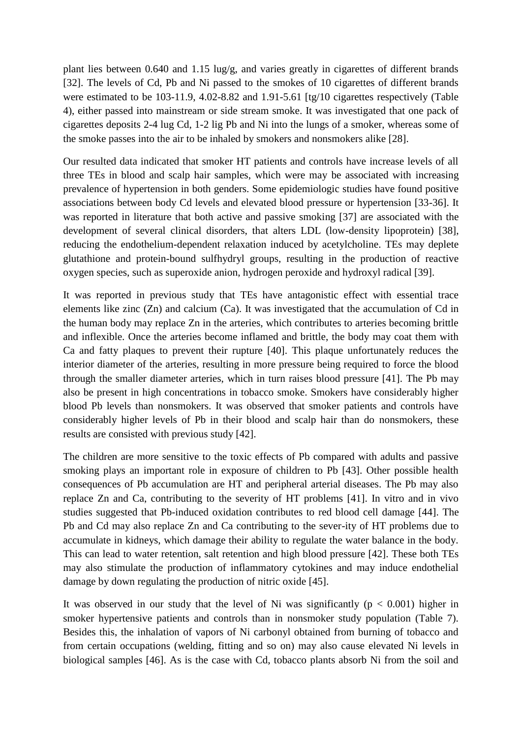plant lies between 0.640 and 1.15 lug/g, and varies greatly in cigarettes of different brands [32]. The levels of Cd, Pb and Ni passed to the smokes of 10 cigarettes of different brands were estimated to be 103-11.9, 4.02-8.82 and 1.91-5.61 [tg/10 cigarettes respectively (Table 4), either passed into mainstream or side stream smoke. It was investigated that one pack of cigarettes deposits 2-4 lug Cd, 1-2 lig Pb and Ni into the lungs of a smoker, whereas some of the smoke passes into the air to be inhaled by smokers and nonsmokers alike [28].

Our resulted data indicated that smoker HT patients and controls have increase levels of all three TEs in blood and scalp hair samples, which were may be associated with increasing prevalence of hypertension in both genders. Some epidemiologic studies have found positive associations between body Cd levels and elevated blood pressure or hypertension [33-36]. It was reported in literature that both active and passive smoking [37] are associated with the development of several clinical disorders, that alters LDL (low-density lipoprotein) [38], reducing the endothelium-dependent relaxation induced by acetylcholine. TEs may deplete glutathione and protein-bound sulfhydryl groups, resulting in the production of reactive oxygen species, such as superoxide anion, hydrogen peroxide and hydroxyl radical [39].

It was reported in previous study that TEs have antagonistic effect with essential trace elements like zinc (Zn) and calcium (Ca). It was investigated that the accumulation of Cd in the human body may replace Zn in the arteries, which contributes to arteries becoming brittle and inflexible. Once the arteries become inflamed and brittle, the body may coat them with Ca and fatty plaques to prevent their rupture [40]. This plaque unfortunately reduces the interior diameter of the arteries, resulting in more pressure being required to force the blood through the smaller diameter arteries, which in turn raises blood pressure [41]. The Pb may also be present in high concentrations in tobacco smoke. Smokers have considerably higher blood Pb levels than nonsmokers. It was observed that smoker patients and controls have considerably higher levels of Pb in their blood and scalp hair than do nonsmokers, these results are consisted with previous study [42].

The children are more sensitive to the toxic effects of Pb compared with adults and passive smoking plays an important role in exposure of children to Pb [43]. Other possible health consequences of Pb accumulation are HT and peripheral arterial diseases. The Pb may also replace Zn and Ca, contributing to the severity of HT problems [41]. In vitro and in vivo studies suggested that Pb-induced oxidation contributes to red blood cell damage [44]. The Pb and Cd may also replace Zn and Ca contributing to the sever-ity of HT problems due to accumulate in kidneys, which damage their ability to regulate the water balance in the body. This can lead to water retention, salt retention and high blood pressure [42]. These both TEs may also stimulate the production of inflammatory cytokines and may induce endothelial damage by down regulating the production of nitric oxide [45].

It was observed in our study that the level of Ni was significantly ( $p < 0.001$ ) higher in smoker hypertensive patients and controls than in nonsmoker study population (Table 7). Besides this, the inhalation of vapors of Ni carbonyl obtained from burning of tobacco and from certain occupations (welding, fitting and so on) may also cause elevated Ni levels in biological samples [46]. As is the case with Cd, tobacco plants absorb Ni from the soil and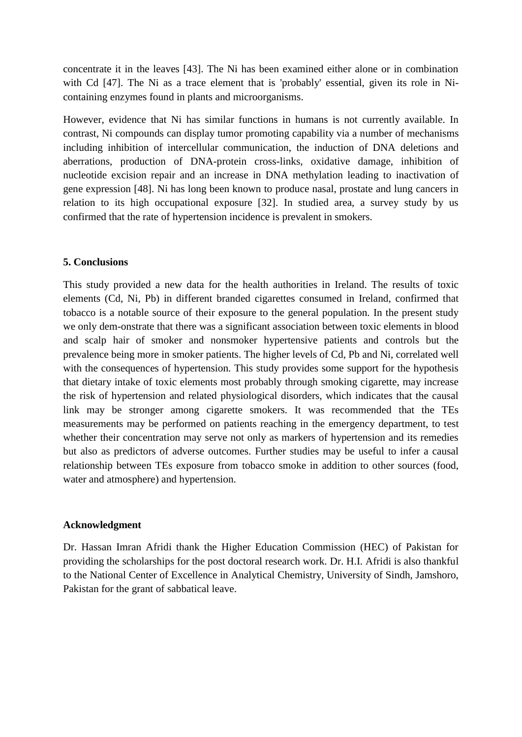concentrate it in the leaves [43]. The Ni has been examined either alone or in combination with Cd [47]. The Ni as a trace element that is 'probably' essential, given its role in Nicontaining enzymes found in plants and microorganisms.

However, evidence that Ni has similar functions in humans is not currently available. In contrast, Ni compounds can display tumor promoting capability via a number of mechanisms including inhibition of intercellular communication, the induction of DNA deletions and aberrations, production of DNA-protein cross-links, oxidative damage, inhibition of nucleotide excision repair and an increase in DNA methylation leading to inactivation of gene expression [48]. Ni has long been known to produce nasal, prostate and lung cancers in relation to its high occupational exposure [32]. In studied area, a survey study by us confirmed that the rate of hypertension incidence is prevalent in smokers.

### **5. Conclusions**

This study provided a new data for the health authorities in Ireland. The results of toxic elements (Cd, Ni, Pb) in different branded cigarettes consumed in Ireland, confirmed that tobacco is a notable source of their exposure to the general population. In the present study we only dem-onstrate that there was a significant association between toxic elements in blood and scalp hair of smoker and nonsmoker hypertensive patients and controls but the prevalence being more in smoker patients. The higher levels of Cd, Pb and Ni, correlated well with the consequences of hypertension. This study provides some support for the hypothesis that dietary intake of toxic elements most probably through smoking cigarette, may increase the risk of hypertension and related physiological disorders, which indicates that the causal link may be stronger among cigarette smokers. It was recommended that the TEs measurements may be performed on patients reaching in the emergency department, to test whether their concentration may serve not only as markers of hypertension and its remedies but also as predictors of adverse outcomes. Further studies may be useful to infer a causal relationship between TEs exposure from tobacco smoke in addition to other sources (food, water and atmosphere) and hypertension.

### **Acknowledgment**

Dr. Hassan Imran Afridi thank the Higher Education Commission (HEC) of Pakistan for providing the scholarships for the post doctoral research work. Dr. H.I. Afridi is also thankful to the National Center of Excellence in Analytical Chemistry, University of Sindh, Jamshoro, Pakistan for the grant of sabbatical leave.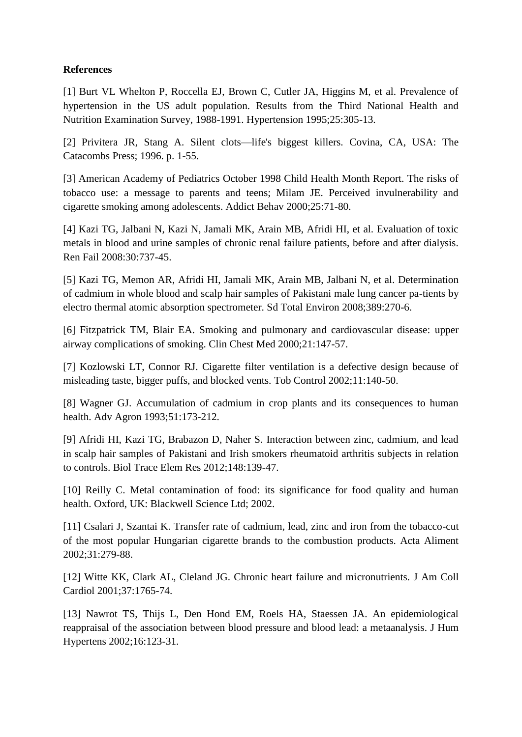## **References**

[1] Burt VL Whelton P, Roccella EJ, Brown C, Cutler JA, Higgins M, et al. Prevalence of hypertension in the US adult population. Results from the Third National Health and Nutrition Examination Survey, 1988-1991. Hypertension 1995;25:305-13.

[2] Privitera JR, Stang A. Silent clots—life's biggest killers. Covina, CA, USA: The Catacombs Press; 1996. p. 1-55.

[3] American Academy of Pediatrics October 1998 Child Health Month Report. The risks of tobacco use: a message to parents and teens; Milam JE. Perceived invulnerability and cigarette smoking among adolescents. Addict Behav 2000;25:71-80.

[4] Kazi TG, Jalbani N, Kazi N, Jamali MK, Arain MB, Afridi HI, et al. Evaluation of toxic metals in blood and urine samples of chronic renal failure patients, before and after dialysis. Ren Fail 2008:30:737-45.

[5] Kazi TG, Memon AR, Afridi HI, Jamali MK, Arain MB, Jalbani N, et al. Determination of cadmium in whole blood and scalp hair samples of Pakistani male lung cancer pa-tients by electro thermal atomic absorption spectrometer. Sd Total Environ 2008;389:270-6.

[6] Fitzpatrick TM, Blair EA. Smoking and pulmonary and cardiovascular disease: upper airway complications of smoking. Clin Chest Med 2000;21:147-57.

[7] Kozlowski LT, Connor RJ. Cigarette filter ventilation is a defective design because of misleading taste, bigger puffs, and blocked vents. Tob Control 2002;11:140-50.

[8] Wagner GJ. Accumulation of cadmium in crop plants and its consequences to human health. Adv Agron 1993;51:173-212.

[9] Afridi HI, Kazi TG, Brabazon D, Naher S. Interaction between zinc, cadmium, and lead in scalp hair samples of Pakistani and Irish smokers rheumatoid arthritis subjects in relation to controls. Biol Trace Elem Res 2012;148:139-47.

[10] Reilly C. Metal contamination of food: its significance for food quality and human health. Oxford, UK: Blackwell Science Ltd; 2002.

[11] Csalari J, Szantai K. Transfer rate of cadmium, lead, zinc and iron from the tobacco-cut of the most popular Hungarian cigarette brands to the combustion products. Acta Aliment 2002;31:279-88.

[12] Witte KK, Clark AL, Cleland JG. Chronic heart failure and micronutrients. J Am Coll Cardiol 2001;37:1765-74.

[13] Nawrot TS, Thijs L, Den Hond EM, Roels HA, Staessen JA. An epidemiological reappraisal of the association between blood pressure and blood lead: a metaanalysis. J Hum Hypertens 2002;16:123-31.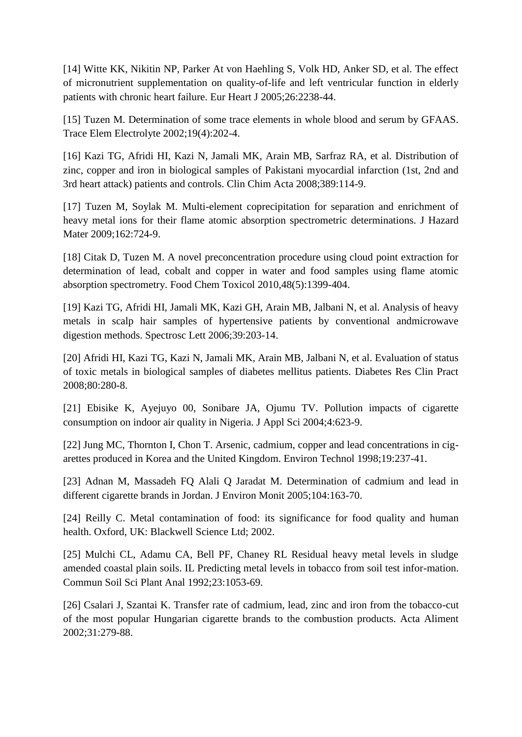[14] Witte KK, Nikitin NP, Parker At von Haehling S, Volk HD, Anker SD, et al. The effect of micronutrient supplementation on quality-of-life and left ventricular function in elderly patients with chronic heart failure. Eur Heart J 2005;26:2238-44.

[15] Tuzen M. Determination of some trace elements in whole blood and serum by GFAAS. Trace Elem Electrolyte 2002;19(4):202-4.

[16] Kazi TG, Afridi HI, Kazi N, Jamali MK, Arain MB, Sarfraz RA, et al. Distribution of zinc, copper and iron in biological samples of Pakistani myocardial infarction (1st, 2nd and 3rd heart attack) patients and controls. Clin Chim Acta 2008;389:114-9.

[17] Tuzen M, Soylak M. Multi-element coprecipitation for separation and enrichment of heavy metal ions for their flame atomic absorption spectrometric determinations. J Hazard Mater 2009;162:724-9.

[18] Citak D, Tuzen M. A novel preconcentration procedure using cloud point extraction for determination of lead, cobalt and copper in water and food samples using flame atomic absorption spectrometry. Food Chem Toxicol 2010,48(5):1399-404.

[19] Kazi TG, Afridi HI, Jamali MK, Kazi GH, Arain MB, Jalbani N, et al. Analysis of heavy metals in scalp hair samples of hypertensive patients by conventional andmicrowave digestion methods. Spectrosc Lett 2006;39:203-14.

[20] Afridi HI, Kazi TG, Kazi N, Jamali MK, Arain MB, Jalbani N, et al. Evaluation of status of toxic metals in biological samples of diabetes mellitus patients. Diabetes Res Clin Pract 2008;80:280-8.

[21] Ebisike K, Ayejuyo 00, Sonibare JA, Ojumu TV. Pollution impacts of cigarette consumption on indoor air quality in Nigeria. J Appl Sci 2004;4:623-9.

[22] Jung MC, Thornton I, Chon T. Arsenic, cadmium, copper and lead concentrations in cigarettes produced in Korea and the United Kingdom. Environ Technol 1998;19:237-41.

[23] Adnan M, Massadeh FQ Alali Q Jaradat M. Determination of cadmium and lead in different cigarette brands in Jordan. J Environ Monit 2005;104:163-70.

[24] Reilly C. Metal contamination of food: its significance for food quality and human health. Oxford, UK: Blackwell Science Ltd; 2002.

[25] Mulchi CL, Adamu CA, Bell PF, Chaney RL Residual heavy metal levels in sludge amended coastal plain soils. IL Predicting metal levels in tobacco from soil test infor-mation. Commun Soil Sci Plant Anal 1992;23:1053-69.

[26] Csalari J, Szantai K. Transfer rate of cadmium, lead, zinc and iron from the tobacco-cut of the most popular Hungarian cigarette brands to the combustion products. Acta Aliment 2002;31:279-88.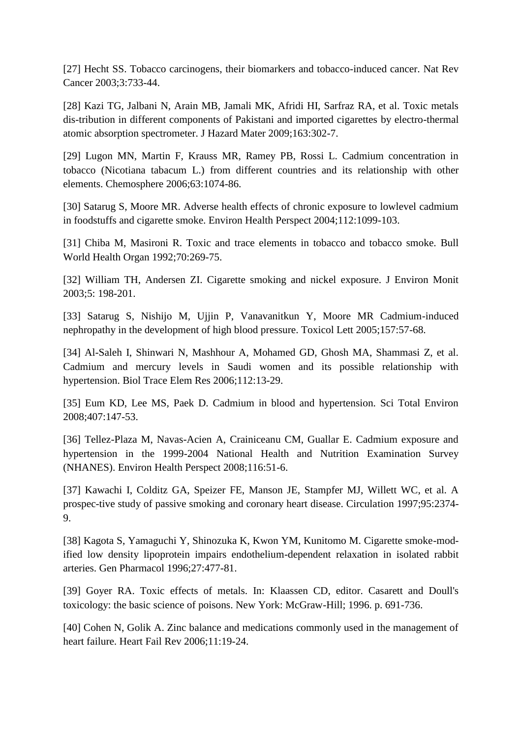[27] Hecht SS. Tobacco carcinogens, their biomarkers and tobacco-induced cancer. Nat Rev Cancer 2003;3:733-44.

[28] Kazi TG, Jalbani N, Arain MB, Jamali MK, Afridi HI, Sarfraz RA, et al. Toxic metals dis-tribution in different components of Pakistani and imported cigarettes by electro-thermal atomic absorption spectrometer. J Hazard Mater 2009;163:302-7.

[29] Lugon MN, Martin F, Krauss MR, Ramey PB, Rossi L. Cadmium concentration in tobacco (Nicotiana tabacum L.) from different countries and its relationship with other elements. Chemosphere 2006;63:1074-86.

[30] Satarug S, Moore MR. Adverse health effects of chronic exposure to lowlevel cadmium in foodstuffs and cigarette smoke. Environ Health Perspect 2004;112:1099-103.

[31] Chiba M, Masironi R. Toxic and trace elements in tobacco and tobacco smoke. Bull World Health Organ 1992;70:269-75.

[32] William TH, Andersen ZI. Cigarette smoking and nickel exposure. J Environ Monit 2003;5: 198-201.

[33] Satarug S, Nishijo M, Ujjin P, Vanavanitkun Y, Moore MR Cadmium-induced nephropathy in the development of high blood pressure. Toxicol Lett 2005;157:57-68.

[34] Al-Saleh I, Shinwari N, Mashhour A, Mohamed GD, Ghosh MA, Shammasi Z, et al. Cadmium and mercury levels in Saudi women and its possible relationship with hypertension. Biol Trace Elem Res 2006;112:13-29.

[35] Eum KD, Lee MS, Paek D. Cadmium in blood and hypertension. Sci Total Environ 2008;407:147-53.

[36] Tellez-Plaza M, Navas-Acien A, Crainiceanu CM, Guallar E. Cadmium exposure and hypertension in the 1999-2004 National Health and Nutrition Examination Survey (NHANES). Environ Health Perspect 2008;116:51-6.

[37] Kawachi I, Colditz GA, Speizer FE, Manson JE, Stampfer MJ, Willett WC, et al. A prospec-tive study of passive smoking and coronary heart disease. Circulation 1997;95:2374- 9.

[38] Kagota S, Yamaguchi Y, Shinozuka K, Kwon YM, Kunitomo M. Cigarette smoke-modified low density lipoprotein impairs endothelium-dependent relaxation in isolated rabbit arteries. Gen Pharmacol 1996;27:477-81.

[39] Goyer RA. Toxic effects of metals. In: Klaassen CD, editor. Casarett and Doull's toxicology: the basic science of poisons. New York: McGraw-Hill; 1996. p. 691-736.

[40] Cohen N, Golik A. Zinc balance and medications commonly used in the management of heart failure. Heart Fail Rev 2006;11:19-24.